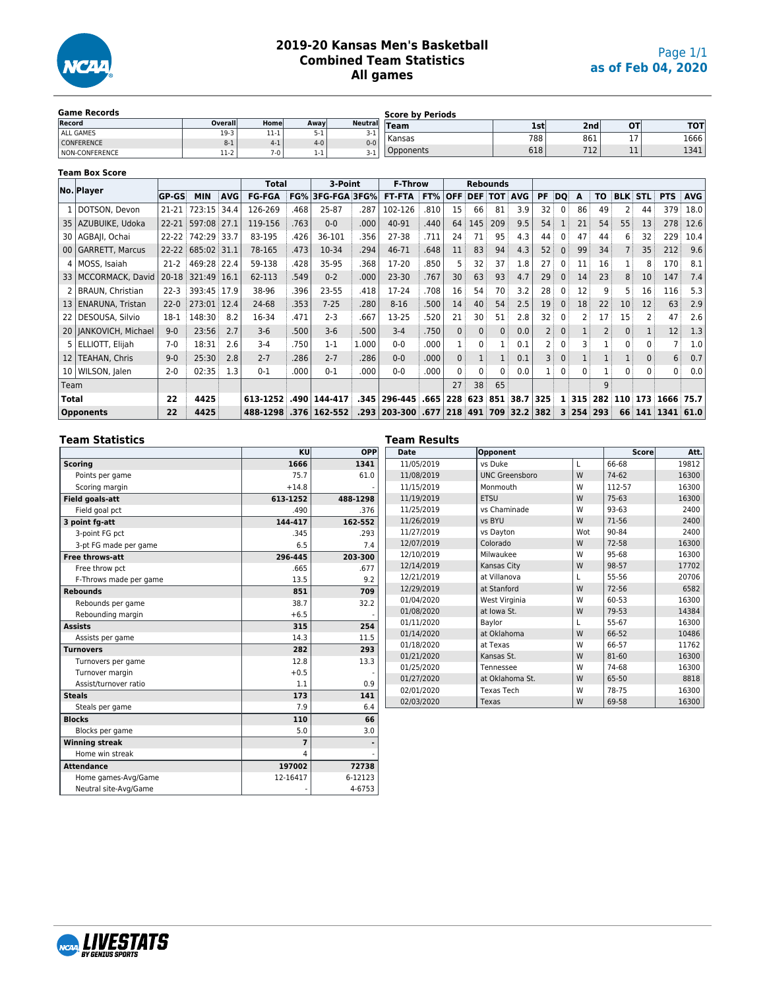

#### **2019-20 Kansas Men's Basketball Combined Team Statistics All games**

| <b>Game Records</b>   |         |          |         |                | <b>Score by Periods</b> |     |                  |            |             |
|-----------------------|---------|----------|---------|----------------|-------------------------|-----|------------------|------------|-------------|
| Record                | Overall | Home     | Away    | <b>Neutral</b> | <b>Team</b>             | 1st | 2nd <sub>i</sub> | O1         | <b>TOTI</b> |
| ALL GAMES             | $19-3$  | .<br>--- | )- 1    | ┚              | Kansas                  | 788 | 861              | $\sim$ $-$ | 1666        |
| <b>CONFERENCE</b>     |         | $4-1$    | $4 - 0$ | $0 - 0$        |                         |     |                  | . .        |             |
| <b>NON-CONFERENCE</b> | $11-2$  | $7 - 0$  | $1 - 1$ | . .            | Opponents               | 618 | 712<br>1 T C     | - -<br>. . | 1341        |

#### **Team Box Score**

|                 | No. Player              |              |             |            | <b>Total</b>  |      | 3-Point                    |       | <b>F-Throw</b> |      |              |              | <b>Rebounds</b> |              |                |                |            |                |              |            |                   |            |
|-----------------|-------------------------|--------------|-------------|------------|---------------|------|----------------------------|-------|----------------|------|--------------|--------------|-----------------|--------------|----------------|----------------|------------|----------------|--------------|------------|-------------------|------------|
|                 |                         | <b>GP-GS</b> | <b>MIN</b>  | <b>AVG</b> | <b>FG-FGA</b> | FG%  | 3FG-FGA 3FG%               |       | <b>FT-FTA</b>  | FT%  | <b>OFF</b>   | <b>DEF</b>   | тот             | <b>AVG</b>   | PF             | DO             | A          | TO             | <b>BLK</b>   | <b>STL</b> | <b>PTS</b>        | <b>AVG</b> |
|                 | DOTSON, Devon           | 21-21        | 723:15      | 34.4       | 126-269       | .468 | 25-87                      | .287  | 102-126        | .810 | 15           | 66           | 81              | 3.9          | 32             | 0 <sup>1</sup> | 86         | 49             | 2            | 44         | 379               | 18.0       |
| 35              | AZUBUIKE, Udoka         | $22 - 21$    | 597:08      | 27.1       | 119-156       | .763 | $0 - 0$                    | .000  | 40-91          | .440 | 64           | 145          | 209             | 9.5          | 54             |                | 21         | 54             | 55           | 13         | 278               | 12.6       |
| 30 l            | AGBAII, Ochai           | $22 - 22$    | 742:29      | 33.7       | 83-195        | .426 | 36-101                     | .356  | 27-38          | .711 | 24           | 71           | 95              | 4.3          | 44             | 0              | 47         | 44             | 6            | 32         | 229               | 10.4       |
|                 | 00 GARRETT, Marcus      | $22 - 22$    | 685:02 31.1 |            | 78-165        | .473 | 10-34                      | .294  | 46-71          | .648 | 11           | 83           | 94              | 4.3          | 52             | 0:             | 99         | 34             |              | 35         | 212               | 9.6        |
|                 | 4   MOSS, Isaiah        | $21-2$       | 469:28 22.4 |            | 59-138        | .428 | 35-95                      | .368  | 17-20          | .850 | 5.           | 32           | 37              | 1.8          | 27             | 0              | 11         | 16             |              |            | 170               | 8.1        |
|                 | 33   MCCORMACK, David   | $20 - 18$    | 321:49 16.1 |            | 62-113        | .549 | $0 - 2$                    | .000  | $23 - 30$      | .767 | 30           | 63           | 93              | 4.7          | 29             | 0 <sup>3</sup> | 14         | 23             | 8            | 10         | 147               | 7.4        |
|                 | BRAUN, Christian        | $22 - 3$     | 393:45 17.9 |            | 38-96         | .396 | 23-55                      | .418  | 17-24          | .708 | 16           | 54           | 70              | 3.2          | 28             | 0              | 12         | q              | 5            | 16         | 116               | 5.3        |
| 13 <sup>1</sup> | <b>ENARUNA, Tristan</b> | $22 - 0$     | 273:01 12.4 |            | 24-68         | .353 | $7 - 25$                   | .280  | $8 - 16$       | .500 | 14           | 40           | 54              | 2.5          | 19             | 0              | 18         | 22             | 10           | 12         | 63                | 2.9        |
| 22 l            | DESOUSA, Silvio         | $18-1$       | 148:30      | 8.2        | 16-34         | .471 | $2 - 3$                    | .667  | 13-25          | .520 | 21           | 30           | 51              | 2.8          | 32             | $\mathbf{0}$   | 2          | 17             | 15           |            | 47                | 2.6        |
|                 | 20   JANKOVICH, Michael | $9-0$        | 23:56       | 2.7        | $3-6$         | .500 | $3-6$                      | .500  | $3 - 4$        | .750 | $\Omega$     | $\mathbf{0}$ | 0               | 0.0          | $\overline{2}$ | $\Omega$       |            | $\overline{2}$ | $\mathbf{0}$ |            | $12 \overline{ }$ | 1.3        |
|                 | 5 ELLIOTT, Elijah       | $7-0$        | 18:31       | 2.6        | $3 - 4$       | .750 | $1 - 1$                    | 1.000 | $0 - 0$        | .000 |              | 0            |                 | 0.1          | $\overline{2}$ | 0              | 3          |                | 0            |            |                   | 1.0        |
| 12              | TEAHAN, Chris           | $9-0$        | 25:30       | 2.8        | $2 - 7$       | .286 | $2 - 7$                    | .286  | $0 - 0$        | .000 | $\mathbf{0}$ |              |                 | 0.1          | 3              | $\Omega$       |            |                |              |            | 6 <sup>3</sup>    | 0.7        |
| 10 I            | WILSON, Jalen           | $2 - 0$      | 02:35       | 1.3        | $0 - 1$       | .000 | $0 - 1$                    | .000  | $0 - 0$        | .000 | 0            | $\Omega$     | 0               | 0.0          |                | 0              | 0          |                | 0            | 0          | 0 <sup>1</sup>    | 0.0        |
| Team            |                         |              |             |            |               |      |                            |       |                |      | 27           | 38           | 65              |              |                |                |            | q              |              |            |                   |            |
| Total           |                         | 22           | 4425        |            | 613-1252      |      | .490 144-417               |       | .345 296-445   | .665 | 228          | 623          |                 | 851 38.7     | 325            |                | $1 \, 315$ | 282            | 110          | 173        | 1666              | 75.7       |
|                 | <b>Opponents</b>        | 22           | 4425        |            | 488-1298      |      | $.376 \mid 162 - 552 \mid$ |       | .293   203-300 | .677 | 218          | 491          |                 | 709 32.2 382 |                |                | $3 \, 254$ | 293            | 66           |            | 141 1341 61.0     |            |

#### **Team Statistics**

|                        | KU             | OPP      |
|------------------------|----------------|----------|
| <b>Scoring</b>         | 1666           | 1341     |
| Points per game        | 75.7           | 61.0     |
| Scoring margin         | $+14.8$        |          |
| <b>Field goals-att</b> | 613-1252       | 488-1298 |
| Field goal pct         | .490           | .376     |
| 3 point fg-att         | 144-417        | 162-552  |
| 3-point FG pct         | .345           | .293     |
| 3-pt FG made per game  | 6.5            | 7.4      |
| <b>Free throws-att</b> | 296-445        | 203-300  |
| Free throw pct         | .665           | .677     |
| F-Throws made per game | 13.5           | 9.2      |
| <b>Rebounds</b>        | 851            | 709      |
| Rebounds per game      | 38.7           | 32.2     |
| Rebounding margin      | $+6.5$         |          |
| <b>Assists</b>         | 315            | 254      |
| Assists per game       | 14.3           | 11.5     |
| <b>Turnovers</b>       | 282            | 293      |
| Turnovers per game     | 12.8           | 13.3     |
| Turnover margin        | $+0.5$         |          |
| Assist/turnover ratio  | 1.1            | 0.9      |
| <b>Steals</b>          | 173            | 141      |
| Steals per game        | 7.9            | 6.4      |
| <b>Blocks</b>          | 110            | 66       |
| Blocks per game        | 5.0            | 3.0      |
| <b>Winning streak</b>  | $\overline{7}$ |          |
| Home win streak        | 4              |          |
| <b>Attendance</b>      | 197002         | 72738    |
| Home games-Avg/Game    | 12-16417       | 6-12123  |
| Neutral site-Avg/Game  |                | 4-6753   |

#### **Team Results Date Opponent Score Att.** 11/05/2019 vs Duke L 66-68 19812 11/08/2019 | UNC Greensboro | W | 74-62 | 16300 11/15/2019 | Monmouth | W | 112-57 | 16300 11/19/2019 ETSU W 75-63 16300<br>11/25/2019 vs Chaminade W 93-63 2400 vs Chaminade 11/26/2019 vs BYU W 71-56 2400 11/27/2019 vs Dayton Wot 90-84 2400 12/07/2019 | Colorado | W | 72-58 | 16300 12/10/2019 Milwaukee W 95-68 16300 12/14/2019 | Kansas City | W | 98-57 | 17702 12/21/2019 at Villanova L 55-56 20706 12/29/2019 at Stanford W 72-56 6582 01/04/2020 West Virginia W 60-53 16300<br>01/08/2020 at lowa St. W 79-53 14384 at Iowa St. 01/11/2020 | Baylor | L | 55-67 | 16300 01/14/2020 at Oklahoma W 66-52 10486 01/18/2020 at Texas W 66-57 11762 01/21/2020 **Kansas St.** W 81-60 16300<br>01/25/2020 Tennessee W 74-68 16300 Tennessee 01/27/2020 at Oklahoma St. W 65-50 8818 02/01/2020 Texas Tech W 78-75 16300<br>02/03/2020 Texas W 69-58 16300 02/03/2020 **Texas** W 69-58

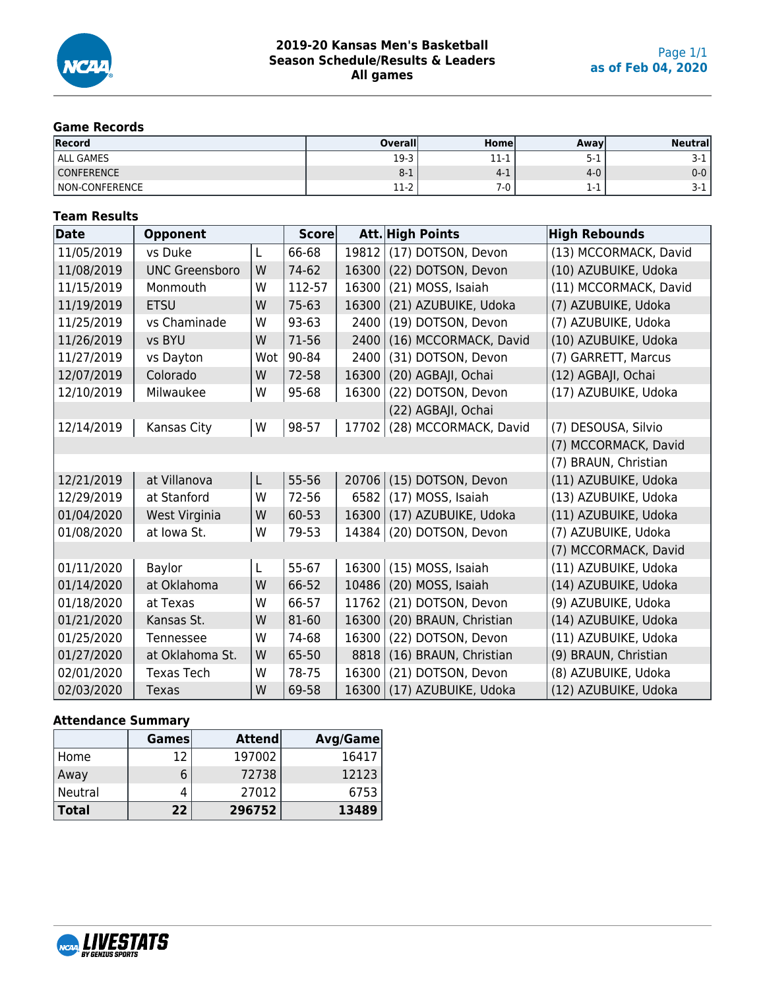

## **Game Records**

| <b>Record</b>     | <b>Overall</b> | Homel      | <b>Away</b> | <b>Neutral</b> |
|-------------------|----------------|------------|-------------|----------------|
| <b>ALL GAMES</b>  | 19-3           | 11<br>11-1 | ⊥-ר         | J-1            |
| <b>CONFERENCE</b> | $8-1$          | $-4$ - $+$ | 4-0         | 0-0            |
| NON-CONFERENCE    | 11-2           | ′-u        | 1-1         | J-1.           |

### **Team Results**

| Date       | <b>Opponent</b>        |     | <b>Score</b> |       | <b>Att. High Points</b> | <b>High Rebounds</b>  |
|------------|------------------------|-----|--------------|-------|-------------------------|-----------------------|
| 11/05/2019 | vs Duke                | L   | 66-68        | 19812 | (17) DOTSON, Devon      | (13) MCCORMACK, David |
| 11/08/2019 | <b>UNC Greensboro</b>  | W   | 74-62        | 16300 | (22) DOTSON, Devon      | (10) AZUBUIKE, Udoka  |
| 11/15/2019 | Monmouth               | W   | 112-57       | 16300 | (21) MOSS, Isaiah       | (11) MCCORMACK, David |
| 11/19/2019 | <b>ETSU</b>            | W   | $75 - 63$    | 16300 | (21) AZUBUIKE, Udoka    | (7) AZUBUIKE, Udoka   |
| 11/25/2019 | vs Chaminade           | W   | 93-63        | 2400  | (19) DOTSON, Devon      | (7) AZUBUIKE, Udoka   |
| 11/26/2019 | vs BYU                 | W   | 71-56        | 2400  | (16) MCCORMACK, David   | (10) AZUBUIKE, Udoka  |
| 11/27/2019 | vs Dayton              | Wot | 90-84        | 2400  | (31) DOTSON, Devon      | (7) GARRETT, Marcus   |
| 12/07/2019 | Colorado               | W   | 72-58        | 16300 | (20) AGBAJI, Ochai      | (12) AGBAJI, Ochai    |
| 12/10/2019 | Milwaukee              | W   | 95-68        | 16300 | (22) DOTSON, Devon      | (17) AZUBUIKE, Udoka  |
|            |                        |     |              |       | (22) AGBAJI, Ochai      |                       |
| 12/14/2019 | Kansas City            | W   | 98-57        | 17702 | (28) MCCORMACK, David   | (7) DESOUSA, Silvio   |
|            |                        |     |              |       |                         | (7) MCCORMACK, David  |
|            |                        |     |              |       |                         | (7) BRAUN, Christian  |
| 12/21/2019 | at Villanova           | L   | 55-56        | 20706 | (15) DOTSON, Devon      | (11) AZUBUIKE, Udoka  |
| 12/29/2019 | at Stanford            | W   | 72-56        | 6582  | (17) MOSS, Isaiah       | (13) AZUBUIKE, Udoka  |
| 01/04/2020 | West Virginia          | W   | 60-53        | 16300 | (17) AZUBUIKE, Udoka    | (11) AZUBUIKE, Udoka  |
| 01/08/2020 | at Iowa St.            | W   | 79-53        | 14384 | (20) DOTSON, Devon      | (7) AZUBUIKE, Udoka   |
|            |                        |     |              |       |                         | (7) MCCORMACK, David  |
| 01/11/2020 | Baylor                 | L   | 55-67        | 16300 | (15) MOSS, Isaiah       | (11) AZUBUIKE, Udoka  |
| 01/14/2020 | at Oklahoma            | W   | 66-52        | 10486 | (20) MOSS, Isaiah       | (14) AZUBUIKE, Udoka  |
| 01/18/2020 | at Texas               | W   | 66-57        | 11762 | (21) DOTSON, Devon      | (9) AZUBUIKE, Udoka   |
| 01/21/2020 | Kansas St.             | W   | 81-60        | 16300 | (20) BRAUN, Christian   | (14) AZUBUIKE, Udoka  |
| 01/25/2020 | Tennessee              | W   | 74-68        | 16300 | (22) DOTSON, Devon      | (11) AZUBUIKE, Udoka  |
| 01/27/2020 | at Oklahoma St.        | W   | 65-50        | 8818  | (16) BRAUN, Christian   | (9) BRAUN, Christian  |
| 02/01/2020 | <b>Texas Tech</b><br>W |     | 78-75        | 16300 | (21) DOTSON, Devon      | (8) AZUBUIKE, Udoka   |
| 02/03/2020 | Texas                  | W   | 69-58        | 16300 | (17) AZUBUIKE, Udoka    | (12) AZUBUIKE, Udoka  |

#### **Attendance Summary**

|              | <b>Games</b> | <b>Attend</b> | Avg/Game |
|--------------|--------------|---------------|----------|
| , Home       |              | 197002        | 16417    |
| Away         | 6            | 72738         | 12123    |
| Neutral      |              | 27012         | 6753     |
| <b>Total</b> | 22           | 296752        | 13489    |

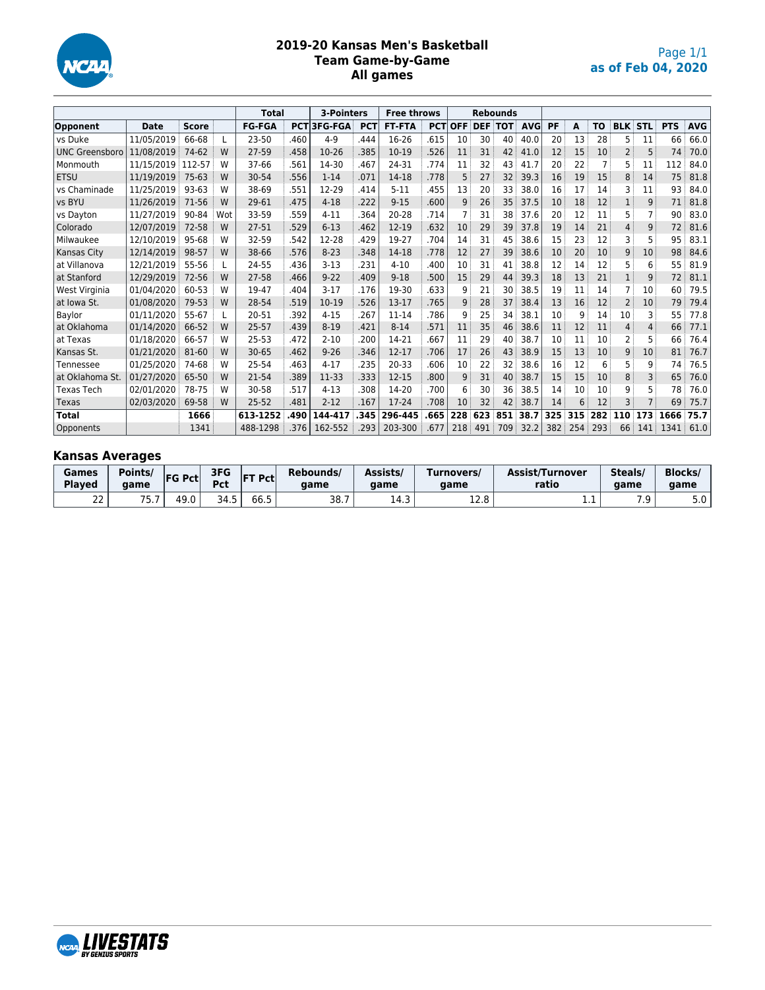

#### **2019-20 Kansas Men's Basketball Team Game-by-Game All games**

|                       |             |              |     | <b>Total</b>  |      | 3-Pointers         |            | <b>Free throws</b> |            |            |     | <b>Rebounds</b> |             |     |     |           |                |                |            |            |
|-----------------------|-------------|--------------|-----|---------------|------|--------------------|------------|--------------------|------------|------------|-----|-----------------|-------------|-----|-----|-----------|----------------|----------------|------------|------------|
| Opponent              | <b>Date</b> | <b>Score</b> |     | <b>FG-FGA</b> |      | <b>PCT 3FG-FGA</b> | <b>PCT</b> | <b>FT-FTA</b>      | <b>PCT</b> | <b>OFF</b> |     |                 | DEF TOT AVG | PF  | A   | <b>TO</b> | <b>BLK STL</b> |                | <b>PTS</b> | <b>AVG</b> |
| vs Duke               | 11/05/2019  | 66-68        |     | $23 - 50$     | .460 | $4 - 9$            | .444       | 16-26              | .615       | 10         | 30  | 40              | 40.0        | 20  | 13  | 28        | 5              | 11             | 66         | 66.0       |
| <b>UNC Greensboro</b> | 11/08/2019  | 74-62        | W   | 27-59         | .458 | $10-26$            | .385       | $10-19$            | .526       | 11         | 31  | 42              | 41.0        | 12  | 15  | 10        | $\overline{2}$ | 5              | 74         | 70.0       |
| Monmouth              | 11/15/2019  | 112-57       | W   | 37-66         | .561 | 14-30              | .467       | 24-31              | .774       | 11         | 32  | 43              | 41.7        | 20  | 22  |           | 5              | 11             | 112        | 84.0       |
| <b>ETSU</b>           | 11/19/2019  | 75-63        | W   | 30-54         | .556 | $1 - 14$           | .071       | 14-18              | .778       | 5          | 27  | 32              | 39.3        | 16  | 19  | 15        | 8              | 14             | 75         | 81.8       |
| vs Chaminade          | 11/25/2019  | 93-63        | W   | 38-69         | .551 | 12-29              | .414       | $5 - 11$           | .455       | 13         | 20  | 33              | 38.0        | 16  | 17  | 14        | 3              | 11             | 93         | 84.0       |
| vs BYU                | 11/26/2019  | 71-56        | W   | 29-61         | .475 | $4 - 18$           | .222       | $9 - 15$           | .600       | 9          | 26  | 35              | 37.5        | 10  | 18  | 12        | 1              | 9              | 71         | 81.8       |
| vs Dayton             | 11/27/2019  | 90-84        | Wot | 33-59         | .559 | $4 - 11$           | .364       | 20-28              | .714       |            | 31  | 38              | 37.6        | 20  | 12  | 11        | 5              | $\overline{7}$ | 90         | 83.0       |
| Colorado              | 12/07/2019  | 72-58        | W   | 27-51         | .529 | $6 - 13$           | .462       | $12 - 19$          | .632       | 10         | 29  | 39              | 37.8        | 19  | 14  | 21        | 4              | 9              | 72         | 81.6       |
| Milwaukee             | 12/10/2019  | 95-68        | W   | 32-59         | .542 | 12-28              | .429       | 19-27              | .704       | 14         | 31  | 45              | 38.6        | 15  | 23  | 12        | 3              | 5              | 95         | 83.1       |
| Kansas City           | 12/14/2019  | 98-57        | W   | 38-66         | .576 | $8 - 23$           | .348       | 14-18              | .778       | 12         | 27  | 39              | 38.6        | 10  | 20  | 10        | 9              | 10             | 98         | 84.6       |
| at Villanova          | 12/21/2019  | 55-56        |     | 24-55         | .436 | $3 - 13$           | .231       | $4 - 10$           | .400       | 10         | 31  | 41              | 38.8        | 12  | 14  | 12        | 5              | 6              | 55         | 81.9       |
| at Stanford           | 12/29/2019  | 72-56        | W   | 27-58         | .466 | $9 - 22$           | .409       | $9 - 18$           | .500       | 15         | 29  | 44              | 39.3        | 18  | 13  | 21        | $\mathbf{1}$   | 9              | 72         | 81.1       |
| West Virginia         | 01/04/2020  | 60-53        | W   | 19-47         | .404 | $3 - 17$           | .176       | 19-30              | .633       | 9          | 21  | 30              | 38.5        | 19  | 11  | 14        | 7              | 10             | 60         | 79.5       |
| at Iowa St.           | 01/08/2020  | 79-53        | W   | 28-54         | .519 | $10-19$            | .526       | $13-17$            | .765       | 9          | 28  | 37              | 38.4        | 13  | 16  | 12        | $\overline{2}$ | 10             | 79         | 79.4       |
| Baylor                | 01/11/2020  | 55-67        |     | 20-51         | .392 | $4 - 15$           | .267       | 11-14              | .786       | 9          | 25  | 34              | 38.1        | 10  | 9   | 14        | 10             | 3              | 55         | 77.8       |
| at Oklahoma           | 01/14/2020  | 66-52        | W   | $25 - 57$     | .439 | $8 - 19$           | .421       | $8 - 14$           | .571       | 11         | 35  | 46              | 38.6        | 11  | 12  | 11        | 4              | $\overline{4}$ | 66         | 77.1       |
| at Texas              | 01/18/2020  | 66-57        | W   | $25 - 53$     | .472 | $2 - 10$           | .200       | 14-21              | .667       | 11         | 29  | 40              | 38.7        | 10  | 11  | 10        | $\overline{2}$ | 5              | 66         | 76.4       |
| Kansas St.            | 01/21/2020  | 81-60        | W   | $30 - 65$     | .462 | $9 - 26$           | .346       | $12 - 17$          | .706       | 17         | 26  | 43              | 38.9        | 15  | 13  | 10        | 9              | 10             | 81         | 76.7       |
| Tennessee             | 01/25/2020  | 74-68        | W   | 25-54         | .463 | $4 - 17$           | .235       | $20 - 33$          | .606       | 10         | 22  | 32              | 38.6        | 16  | 12  | 6         | 5              | 9              | 74         | 76.5       |
| at Oklahoma St.       | 01/27/2020  | 65-50        | W   | 21-54         | .389 | 11-33              | .333       | $12 - 15$          | .800       | 9          | 31  | 40              | 38.7        | 15  | 15  | 10        | 8              | 3              | 65         | 76.0       |
| <b>Texas Tech</b>     | 02/01/2020  | 78-75        | W   | 30-58         | .517 | $4 - 13$           | .308       | 14-20              | .700       | 6          | 30  | 36              | 38.5        | 14  | 10  | 10        | 9              | 5              | 78         | 76.0       |
| Texas                 | 02/03/2020  | 69-58        | W   | $25 - 52$     | .481 | $2 - 12$           | .167       | $17 - 24$          | .708       | 10         | 32  | 42              | 38.7        | 14  | 6   | 12        | 3              | $\overline{7}$ | 69         | 75.7       |
| <b>Total</b>          |             | 1666         |     | 613-1252      | .490 | 144-417            | .345       | 296-445            | .665       | 228        | 623 | 851 38.7        |             | 325 | 315 | 282       |                | 110 173        | 1666       | 75.7       |
| Opponents             |             | 1341         |     | 488-1298      | .376 | 162-552            | .293       | 203-300            | .677       | 218        | 491 | 709             | 32.2        | 382 | 254 | 293       | 66             | 141            | 1341       | 61.0       |

## **Kansas Averages**

| Games<br><b>Played</b> | Points/<br>qame | <b>FG Pctl</b> | 3FG<br><b>FT Pct</b><br>°CL |                  | Rebounds/<br>aame | Assists/<br>aame | Turnovers/<br>aame | <b>Assist/Turnover</b><br>ratio | Steals/<br>aame | <b>Blocks</b><br>aame |
|------------------------|-----------------|----------------|-----------------------------|------------------|-------------------|------------------|--------------------|---------------------------------|-----------------|-----------------------|
| $\sim$<br>ᅀ            | 75<br>.         | 49.0           | 34.5                        | . .<br>-<br>66.5 | 38.7              | $\sim$<br>14.3   | 120<br>ᅭ᠘.∪        | .                               | .               | 5.0                   |

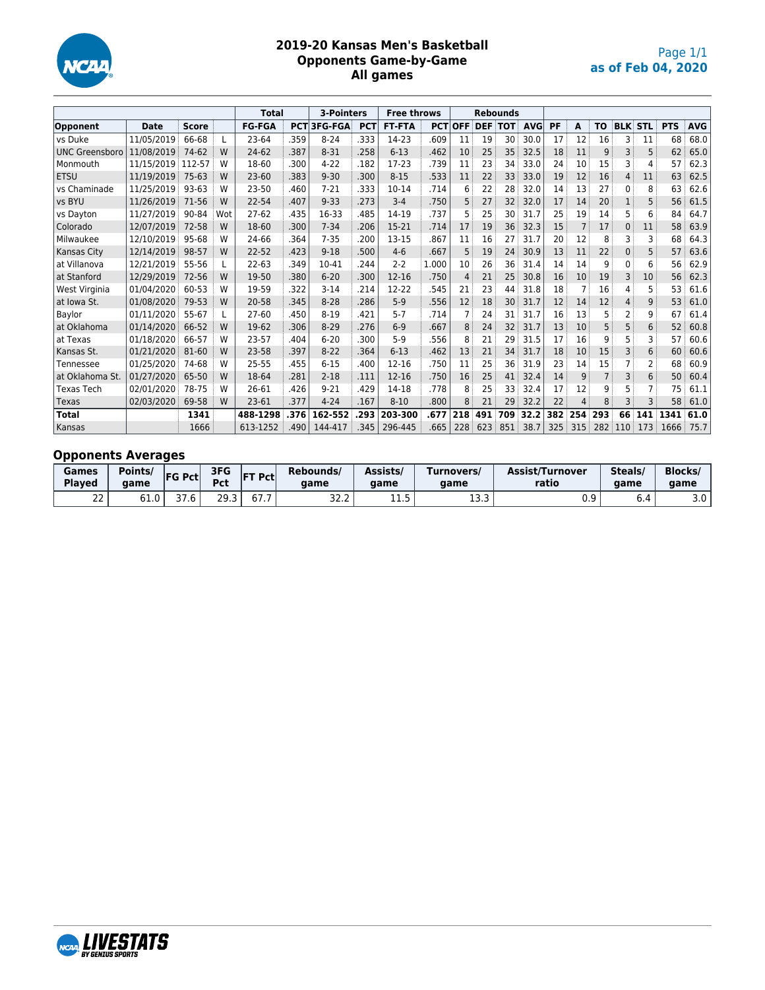

#### **2019-20 Kansas Men's Basketball Opponents Game-by-Game All games**

|                       |             |              |     | <b>Total</b>  |                  | 3-Pointers         |            | <b>Free throws</b> |            |                |     | <b>Rebounds</b> |            |     |                |                |                |                |            |            |
|-----------------------|-------------|--------------|-----|---------------|------------------|--------------------|------------|--------------------|------------|----------------|-----|-----------------|------------|-----|----------------|----------------|----------------|----------------|------------|------------|
| Opponent              | <b>Date</b> | <b>Score</b> |     | <b>FG-FGA</b> |                  | <b>PCT 3FG-FGA</b> | <b>PCT</b> | <b>FT-FTA</b>      | <b>PCT</b> | <b>OFF</b>     |     | <b>DEF TOT</b>  | <b>AVG</b> | PF  | A              | TO             |                | <b>BLK STL</b> | <b>PTS</b> | <b>AVG</b> |
| vs Duke               | 11/05/2019  | 66-68        | L   | 23-64         | .359             | $8 - 24$           | .333       | 14-23              | .609       | 11             | 19  | 30              | 30.0       | 17  | 12             | 16             | 3              | 11             | 68         | 68.0       |
| <b>UNC Greensboro</b> | 11/08/2019  | 74-62        | W   | 24-62         | .387             | $8 - 31$           | .258       | $6 - 13$           | .462       | 10             | 25  | 35              | 32.5       | 18  | 11             | 9              | 3              | 5              | 62         | 65.0       |
| Monmouth              | 11/15/2019  | 112-57       | W   | 18-60         | .300             | $4 - 22$           | .182       | 17-23              | .739       | 11             | 23  | 34              | 33.0       | 24  | 10             | 15             | 3              | 4              | 57         | 62.3       |
| <b>ETSU</b>           | 11/19/2019  | $75 - 63$    | W   | $23 - 60$     | .383<br>$9 - 30$ |                    | .300       | $8 - 15$           | .533       | 11             | 22  | 33              | 33.0       | 19  | 12             | 16             | $\overline{4}$ | 11             | 63         | 62.5       |
| vs Chaminade          | 11/25/2019  | 93-63        | W   | 23-50         | .460             | $7 - 21$           | .333       | $10 - 14$          | .714       | 6              | 22  | 28              | 32.0       | 14  | 13             | 27             | 0              | 8              | 63         | 62.6       |
| vs BYU                | 11/26/2019  | 71-56        | W   | 22-54         | .407             | $9 - 33$           | .273       | $3-4$              | .750       | 5              | 27  | 32              | 32.0       | 17  | 14             | 20             | 1              | 5              | 56         | 61.5       |
| vs Dayton             | 11/27/2019  | 90-84        | Wot | $27 - 62$     | .435             | 16-33              | .485       | 14-19              | .737       | 5              | 25  | 30              | 31.7       | 25  | 19             | 14             | 5              | 6              | 84         | 64.7       |
| Colorado              | 12/07/2019  | 72-58        | W   | 18-60         | .300             | $7 - 34$           | .206       | 15-21              | .714       | 17             | 19  | 36              | 32.3       | 15  | $\overline{7}$ | 17             | $\mathbf{0}$   | 11             | 58         | 63.9       |
| Milwaukee             | 12/10/2019  | 95-68        | W   | 24-66         | .364             | $7 - 35$           | .200       | 13-15              | .867       | 11             | 16  | 27              | 31.7       | 20  | 12             | 8              | 3              | 3              | 68         | 64.3       |
| Kansas City           | 12/14/2019  | 98-57        | W   | 22-52         | .423             | $9 - 18$           | .500       | $4-6$              | .667       | 5              | 19  | 24              | 30.9       | 13  | 11             | 22             | 0              | 5              | 57         | 63.6       |
| at Villanova          | 12/21/2019  | 55-56        |     | $22 - 63$     | .349             | 10-41              | .244       | $2 - 2$            | 1.000      | 10             | 26  | 36              | 31.4       | 14  | 14             | 9              | 0              | 6              | 56         | 62.9       |
| at Stanford           | 12/29/2019  | 72-56        | W   | 19-50         | .380             | $6 - 20$           | .300       | $12 - 16$          | .750       | $\overline{4}$ | 21  | 25              | 30.8       | 16  | 10             | 19             | 3              | 10             | 56         | 62.3       |
| West Virginia         | 01/04/2020  | 60-53        | W   | 19-59         | .322             | $3 - 14$           | .214       | 12-22              | .545       | 21             | 23  | 44              | 31.8       | 18  | 7              | 16             | 4              | 5              | 53         | 61.6       |
| at Iowa St.           | 01/08/2020  | 79-53        | W   | 20-58         | .345             | $8 - 28$           | .286       | $5-9$              | .556       | 12             | 18  | 30              | 31.7       | 12  | 14             | 12             | 4              | 9              | 53         | 61.0       |
| Baylor                | 01/11/2020  | 55-67        | L   | 27-60         | .450             | $8 - 19$           | .421       | $5 - 7$            | .714       | 7              | 24  | 31              | 31.7       | 16  | 13             | 5              | 2              | 9              | 67         | 61.4       |
| at Oklahoma           | 01/14/2020  | 66-52        | W   | 19-62         | .306             | $8 - 29$           | .276       | $6 - 9$            | .667       | 8              | 24  | 32              | 31.7       | 13  | 10             | 5              | 5              | 6              | 52         | 60.8       |
| at Texas              | 01/18/2020  | 66-57        | W   | 23-57         | .404             | $6 - 20$           | .300       | $5-9$              | .556       | 8              | 21  | 29              | 31.5       | 17  | 16             | 9              | 5              | 3              | 57         | 60.6       |
| Kansas St.            | 01/21/2020  | 81-60        | W   | 23-58         | .397             | $8 - 22$           | .364       | $6 - 13$           | .462       | 13             | 21  | 34              | 31.7       | 18  | 10             | 15             | 3              | 6              | 60         | 60.6       |
| Tennessee             | 01/25/2020  | 74-68        | W   | 25-55         | .455             | $6 - 15$           | .400       | $12 - 16$          | .750       | 11             | 25  | 36              | 31.9       | 23  | 14             | 15             |                | 2              | 68         | 60.9       |
| at Oklahoma St.       | 01/27/2020  | 65-50        | W   | 18-64         | .281             | $2 - 18$           | .111       | $12 - 16$          | .750       | 16             | 25  | 41              | 32.4       | 14  | 9              | $\overline{7}$ | 3              | 6              | 50         | 60.4       |
| <b>Texas Tech</b>     | 02/01/2020  | 78-75        | W   | 26-61         | .426             | $9 - 21$           | .429       | 14-18              | .778       | 8              | 25  | 33              | 32.4       | 17  | 12             | 9              | 5              |                | 75         | 61.1       |
| Texas                 | 02/03/2020  | 69-58        | W   | 23-61         | .377             | $4 - 24$           | .167       | $8 - 10$           | .800       | 8              | 21  | 29              | 32.2       | 22  | 4              | 8              | 3              | 3              | 58         | 61.0       |
| <b>Total</b>          |             | 1341         |     | 488-1298      | .376             | 162-552            | .293       | 203-300            | .677       | 218            | 491 | 709             | 32.2       | 382 | 254            | 293            | 66             | 141            | 1341       | 61.0       |
| Kansas                |             | 1666         |     | 613-1252      | .490             | 144-417            | .345       | 296-445            | .665       | 228            | 623 | 851             | 38.7       | 325 | 315            | 282            | 110            | 173            | 1666       | 75.7       |

# **Opponents Averages**

| Games<br><b>Plaved</b> | Points/<br>aame | 3FG<br><b>FG Pct</b><br><b>FT Pct</b><br>Drt<br>άι<br>$\sim$ $\sim$ |             | Rebounds/<br>aame | Assists/<br>aame      | Turnovers/<br>aame | <b>Assist/Turnover</b><br>ratio          | Steals/<br>aame | <b>Blocks</b><br>aame |                      |
|------------------------|-----------------|---------------------------------------------------------------------|-------------|-------------------|-----------------------|--------------------|------------------------------------------|-----------------|-----------------------|----------------------|
| $\sim$<br>ے            | 61.0            | ں ، ر                                                               | つQ<br>ر . ر | b/L               | $\sim$ $\sim$<br>32.Z | <b></b>            | . .<br>$\overline{\phantom{0}}$<br>ر.ر د | ◡.◡             | 0.4                   | $\sim$ $\sim$<br>J.U |